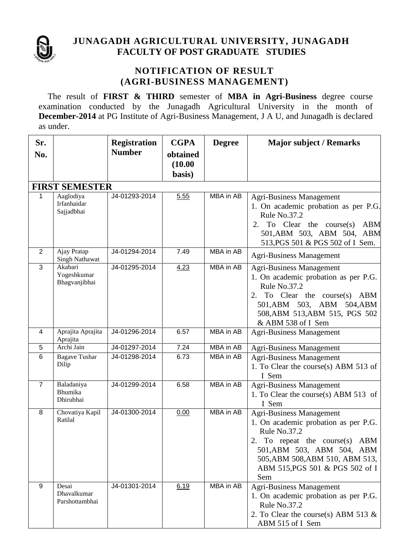

#### **JUNAGADH AGRICULTURAL UNIVERSITY, JUNAGADH FACULTY OF POST GRADUATE STUDIES**

#### **NOTIFICATION OF RESULT (AGRI-BUSINESS MANAGEMENT)**

The result of **FIRST & THIRD** semester of **MBA in Agri-Business** degree course examination conducted by the Junagadh Agricultural University in the month of **December-2014** at PG Institute of Agri-Business Management, J A U, and Junagadh is declared as under.

| Sr.            |                                         | <b>Registration</b> | <b>CGPA</b>                   | <b>Degree</b>    | <b>Major subject / Remarks</b>                                                                                                                                                                                                         |  |  |  |  |  |
|----------------|-----------------------------------------|---------------------|-------------------------------|------------------|----------------------------------------------------------------------------------------------------------------------------------------------------------------------------------------------------------------------------------------|--|--|--|--|--|
| No.            |                                         | <b>Number</b>       | obtained<br>(10.00)<br>basis) |                  |                                                                                                                                                                                                                                        |  |  |  |  |  |
|                | <b>FIRST SEMESTER</b>                   |                     |                               |                  |                                                                                                                                                                                                                                        |  |  |  |  |  |
| 1              | Aaglodiya<br>Irfanhaidar<br>Sajjadbhai  | J4-01293-2014       | 5.55                          | MBA in AB        | <b>Agri-Business Management</b><br>1. On academic probation as per P.G.<br>Rule No.37.2<br>To Clear the course $(s)$<br>2.<br><b>ABM</b><br>501, ABM 503, ABM 504, ABM<br>513, PGS 501 & PGS 502 of I Sem.                             |  |  |  |  |  |
| 2              | Ajay Pratap<br><b>Singh Nathawat</b>    | J4-01294-2014       | 7.49                          | MBA in AB        | <b>Agri-Business Management</b>                                                                                                                                                                                                        |  |  |  |  |  |
| 3              | Akabari<br>Yogeshkumar<br>Bhagvanjibhai | J4-01295-2014       | 4.23                          | MBA in AB        | <b>Agri-Business Management</b><br>1. On academic probation as per P.G.<br>Rule No.37.2<br>To Clear the course $(s)$<br>2.<br><b>ABM</b><br>501, ABM 503, ABM 504, ABM<br>508, ABM 513, ABM 515, PGS 502<br>& ABM 538 of I Sem         |  |  |  |  |  |
| 4              | Aprajita Aprajita<br>Aprajita           | J4-01296-2014       | 6.57                          | MBA in AB        | <b>Agri-Business Management</b>                                                                                                                                                                                                        |  |  |  |  |  |
| 5              | Archi Jain                              | J4-01297-2014       | 7.24                          | MBA in AB        | <b>Agri-Business Management</b>                                                                                                                                                                                                        |  |  |  |  |  |
| 6              | <b>Bagave Tushar</b><br>Dilip           | J4-01298-2014       | 6.73                          | MBA in AB        | <b>Agri-Business Management</b><br>1. To Clear the course(s) ABM 513 of<br>I Sem                                                                                                                                                       |  |  |  |  |  |
| $\overline{7}$ | Baladaniya<br>Bhumika<br>Dhirubhai      | J4-01299-2014       | 6.58                          | <b>MBA</b> in AB | <b>Agri-Business Management</b><br>1. To Clear the course(s) ABM 513 of<br>I Sem                                                                                                                                                       |  |  |  |  |  |
| 8              | Chovatiya Kapil<br>Ratilal              | J4-01300-2014       | 0.00                          | MBA in AB        | <b>Agri-Business Management</b><br>1. On academic probation as per P.G.<br>Rule $No.37.2$<br>2. To repeat the course(s) ABM<br>501, ABM 503, ABM 504, ABM<br>505, ABM 508, ABM 510, ABM 513,<br>ABM 515, PGS 501 & PGS 502 of I<br>Sem |  |  |  |  |  |
| 9              | Desai<br>Dhavalkumar<br>Parshottambhai  | J4-01301-2014       | 6.19                          | MBA in AB        | <b>Agri-Business Management</b><br>1. On academic probation as per P.G.<br>Rule No.37.2<br>2. To Clear the course(s) ABM 513 $\&$<br>ABM 515 of I Sem                                                                                  |  |  |  |  |  |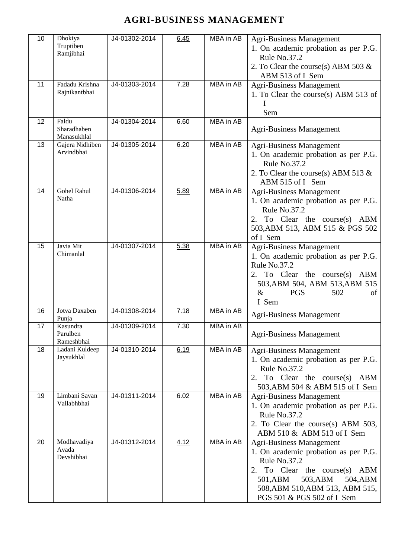| 10 | Dhokiya<br>Truptiben<br>Ramjibhai   | J4-01302-2014 | 6.45 | MBA in AB        | <b>Agri-Business Management</b><br>1. On academic probation as per P.G.<br>Rule No.37.2<br>2. To Clear the course(s) ABM 503 $\&$<br>ABM 513 of I Sem                                                                        |
|----|-------------------------------------|---------------|------|------------------|------------------------------------------------------------------------------------------------------------------------------------------------------------------------------------------------------------------------------|
| 11 | Fadadu Krishna<br>Rajnikantbhai     | J4-01303-2014 | 7.28 | MBA in AB        | <b>Agri-Business Management</b><br>1. To Clear the course(s) ABM 513 of<br>Sem                                                                                                                                               |
| 12 | Faldu<br>Sharadhaben<br>Manasukhlal | J4-01304-2014 | 6.60 | <b>MBA</b> in AB | <b>Agri-Business Management</b>                                                                                                                                                                                              |
| 13 | Gajera Nidhiben<br>Arvindbhai       | J4-01305-2014 | 6.20 | MBA in AB        | <b>Agri-Business Management</b><br>1. On academic probation as per P.G.<br>Rule No.37.2<br>2. To Clear the course(s) ABM 513 $\&$<br>ABM 515 of I Sem                                                                        |
| 14 | Gohel Rahul<br>Natha                | J4-01306-2014 | 5.89 | <b>MBA</b> in AB | <b>Agri-Business Management</b><br>1. On academic probation as per P.G.<br>Rule No.37.2<br>2. To Clear the course(s) ABM<br>503, ABM 513, ABM 515 & PGS 502<br>of I Sem                                                      |
| 15 | Javia Mit<br>Chimanlal              | J4-01307-2014 | 5.38 | MBA in AB        | Agri-Business Management<br>1. On academic probation as per P.G.<br>Rule No.37.2<br>2. To Clear the course(s) ABM<br>503, ABM 504, ABM 513, ABM 515<br><b>PGS</b><br>502<br>&<br>of<br>I Sem                                 |
| 16 | Jotva Daxaben<br>Punja              | J4-01308-2014 | 7.18 | MBA in AB        | <b>Agri-Business Management</b>                                                                                                                                                                                              |
| 17 | Kasundra<br>Parulben<br>Rameshbhai  | J4-01309-2014 | 7.30 | MBA in AB        | <b>Agri-Business Management</b>                                                                                                                                                                                              |
| 18 | Ladani Kuldeep<br>Jaysukhlal        | J4-01310-2014 | 6.19 | MBA in AB        | <b>Agri-Business Management</b><br>1. On academic probation as per P.G.<br>Rule No.37.2<br>2. To Clear the course(s) ABM<br>503, ABM 504 & ABM 515 of I Sem                                                                  |
| 19 | Limbani Savan<br>Vallabhbhai        | J4-01311-2014 | 6.02 | MBA in AB        | <b>Agri-Business Management</b><br>1. On academic probation as per P.G.<br>Rule No.37.2<br>2. To Clear the course(s) ABM 503,<br>ABM 510 & ABM 513 of I Sem                                                                  |
| 20 | Modhavadiya<br>Avada<br>Devshibhai  | J4-01312-2014 | 4.12 | MBA in AB        | <b>Agri-Business Management</b><br>1. On academic probation as per P.G.<br>Rule No.37.2<br>2. To Clear the course(s) ABM<br>501,ABM<br>503, ABM<br>504, ABM<br>508, ABM 510, ABM 513, ABM 515,<br>PGS 501 & PGS 502 of I Sem |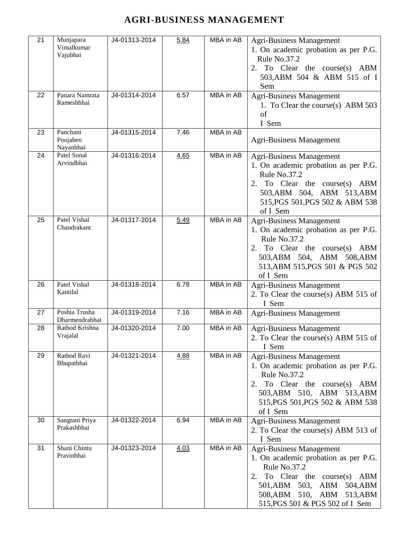| 21 | Munjapara<br>Vimalkumar<br>Vajubhai | J4-01313-2014 | 5.84 | MBA in AB        | <b>Agri-Business Management</b><br>1. On academic probation as per P.G.<br>Rule No.37.2<br>2. To Clear the course(s) ABM<br>503, ABM 504 & ABM 515 of I<br>Sem                                                                   |
|----|-------------------------------------|---------------|------|------------------|----------------------------------------------------------------------------------------------------------------------------------------------------------------------------------------------------------------------------------|
| 22 | Panara Namrata<br>Rameshbhai        | J4-01314-2014 | 6.57 | MBA in AB        | <b>Agri-Business Management</b><br>1. To Clear the course(s) ABM 503<br>of<br>I Sem                                                                                                                                              |
| 23 | Panchani<br>Poojaben<br>Nayanbhai   | J4-01315-2014 | 7.46 | <b>MBA</b> in AB | <b>Agri-Business Management</b>                                                                                                                                                                                                  |
| 24 | Patel Sonal<br>Arvindbhai           | J4-01316-2014 | 4.65 | <b>MBA</b> in AB | <b>Agri-Business Management</b><br>1. On academic probation as per P.G.<br>Rule No.37.2<br>2. To Clear the course(s) ABM<br>503, ABM 504, ABM 513, ABM<br>515, PGS 501, PGS 502 & ABM 538<br>of I Sem                            |
| 25 | Patel Vishal<br>Chandrakant         | J4-01317-2014 | 5.49 | MBA in AB        | <b>Agri-Business Management</b><br>1. On academic probation as per P.G.<br>Rule No.37.2<br>2. To Clear the course(s) ABM<br>503, ABM 504, ABM 508, ABM<br>513, ABM 515, PGS 501 & PGS 502<br>of I Sem                            |
| 26 | Patel Vishal<br>Kantilal            | J4-01318-2014 | 6.78 | MBA in AB        | <b>Agri-Business Management</b><br>2. To Clear the course(s) ABM 515 of<br>I Sem                                                                                                                                                 |
| 27 | Poshia Trusha<br>Dharmendrabhai     | J4-01319-2014 | 7.16 | MBA in AB        | <b>Agri-Business Management</b>                                                                                                                                                                                                  |
| 28 | Rathod Krishna<br>Vrajalal          | J4-01320-2014 | 7.00 | MBA in AB        | <b>Agri-Business Management</b><br>2. To Clear the course(s) ABM 515 of<br>I Sem                                                                                                                                                 |
| 29 | Rathod Ravi<br>Bhupatbhai           | J4-01321-2014 | 4.88 | MBA in AB        | <b>Agri-Business Management</b><br>1. On academic probation as per P.G.<br>Rule No.37.2<br>2. To Clear the course(s) ABM<br>503, ABM 510, ABM 513, ABM<br>515, PGS 501, PGS 502 & ABM 538<br>of I Sem                            |
| 30 | Sangtani Priya<br>Prakashbhai       | J4-01322-2014 | 6.94 | MBA in AB        | <b>Agri-Business Management</b><br>2. To Clear the course(s) ABM 513 of<br>I Sem                                                                                                                                                 |
| 31 | Shani Chintu<br>Pravinbhai          | J4-01323-2014 | 4.03 | MBA in AB        | <b>Agri-Business Management</b><br>1. On academic probation as per P.G.<br>Rule No.37.2<br>2. To Clear the course(s) ABM<br>501, ABM 503,<br>ABM<br>504, ABM<br>508, ABM 510, ABM<br>513, ABM<br>515, PGS 501 & PGS 502 of I Sem |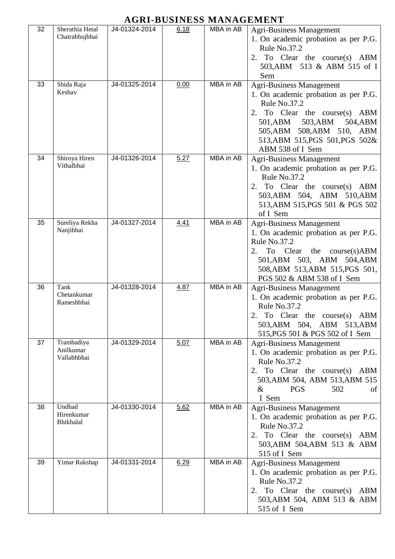| 32 | Sherathia Hetal<br>Chatrabhujbhai      | J4-01324-2014 | 6.18 | MBA in AB | <b>Agri-Business Management</b><br>1. On academic probation as per P.G.<br>Rule No.37.2<br>2. To Clear the course(s) ABM<br>503, ABM 513 & ABM 515 of I<br>Sem                                                                                 |
|----|----------------------------------------|---------------|------|-----------|------------------------------------------------------------------------------------------------------------------------------------------------------------------------------------------------------------------------------------------------|
| 33 | Shida Raja<br>Keshav                   | J4-01325-2014 | 0.00 | MBA in AB | <b>Agri-Business Management</b><br>1. On academic probation as per P.G.<br>Rule No.37.2<br>2. To Clear the course(s) ABM<br>501, ABM 503, ABM<br>504, ABM<br>505, ABM 508, ABM 510, ABM<br>513, ABM 515, PGS 501, PGS 502&<br>ABM 538 of I Sem |
| 34 | Shiroya Hiren<br>Vithalbhai            | J4-01326-2014 | 5.27 | MBA in AB | <b>Agri-Business Management</b><br>1. On academic probation as per P.G.<br>Rule No.37.2<br>2. To Clear the course(s) ABM<br>503, ABM 504, ABM 510, ABM<br>513, ABM 515, PGS 501 & PGS 502<br>of I Sem                                          |
| 35 | Sureliya Rekha<br>Nanjibhai            | J4-01327-2014 | 4.41 | MBA in AB | <b>Agri-Business Management</b><br>1. On academic probation as per P.G.<br>Rule No.37.2<br>To Clear the course(s)ABM<br>2.<br>501, ABM 503, ABM 504, ABM<br>508, ABM 513, ABM 515, PGS 501,<br>PGS 502 & ABM 538 of I Sem                      |
| 36 | Tank<br>Chetankumar<br>Rameshbhai      | J4-01328-2014 | 4.87 | MBA in AB | <b>Agri-Business Management</b><br>1. On academic probation as per P.G.<br>Rule No.37.2<br>2.<br>To Clear the course(s) ABM<br>503, ABM 504, ABM 513, ABM<br>515, PGS 501 & PGS 502 of I Sem                                                   |
| 37 | Trambadiya<br>Anilkumar<br>Vallabhbhai | J4-01329-2014 | 5.07 | MBA in AB | <b>Agri-Business Management</b><br>1. On academic probation as per P.G.<br>Rule No.37.2<br>2. To Clear the course(s) ABM<br>503, ABM 504, ABM 513, ABM 515<br>$\&$<br>502<br><b>PGS</b><br>of<br>I Sem                                         |
| 38 | Undhad<br>Hirenkumar<br>Bhikhalal      | J4-01330-2014 | 5.62 | MBA in AB | <b>Agri-Business Management</b><br>1. On academic probation as per P.G.<br>Rule No.37.2<br>2. To Clear the course(s) ABM<br>503, ABM 504, ABM 513 & ABM<br>515 of I Sem                                                                        |
| 39 | Yimar Rakshap                          | J4-01331-2014 | 6.29 | MBA in AB | <b>Agri-Business Management</b><br>1. On academic probation as per P.G.<br>Rule No.37.2<br>2. To Clear the course(s) ABM<br>503, ABM 504, ABM 513 & ABM<br>515 of I Sem                                                                        |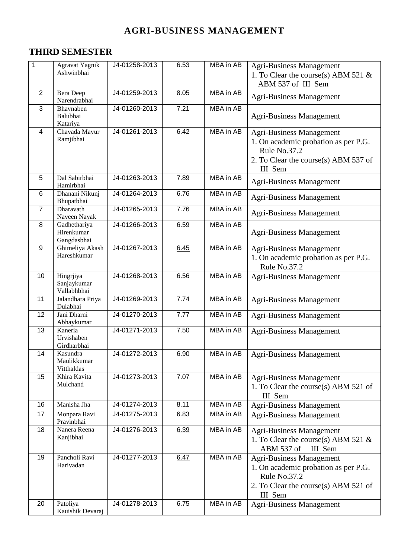## **THIRD SEMESTER**

| $\mathbf{1}$   | Agravat Yagnik<br>Ashwinbhai              | J4-01258-2013 | 6.53 | <b>MBA</b> in AB | <b>Agri-Business Management</b><br>1. To Clear the course(s) ABM 521 &<br>ABM 537 of III Sem                                               |
|----------------|-------------------------------------------|---------------|------|------------------|--------------------------------------------------------------------------------------------------------------------------------------------|
| $\overline{2}$ | Bera Deep<br>Narendrabhai                 | J4-01259-2013 | 8.05 | MBA in AB        | <b>Agri-Business Management</b>                                                                                                            |
| 3              | Bhavnaben<br>Balubhai<br>Katariya         | J4-01260-2013 | 7.21 | MBA in AB        | <b>Agri-Business Management</b>                                                                                                            |
| $\overline{4}$ | Chavada Mayur<br>Ramjibhai                | J4-01261-2013 | 6.42 | <b>MBA</b> in AB | <b>Agri-Business Management</b><br>1. On academic probation as per P.G.<br>Rule No.37.2<br>2. To Clear the course(s) ABM 537 of<br>III Sem |
| 5              | Dal Sabirbhai<br>Hamirbhai                | J4-01263-2013 | 7.89 | <b>MBA</b> in AB | <b>Agri-Business Management</b>                                                                                                            |
| 6              | Dhanani Nikunj<br>Bhupatbhai              | J4-01264-2013 | 6.76 | MBA in AB        | <b>Agri-Business Management</b>                                                                                                            |
| $\overline{7}$ | Dharavath<br>Naveen Nayak                 | J4-01265-2013 | 7.76 | MBA in AB        | <b>Agri-Business Management</b>                                                                                                            |
| 8              | Gadhethariya<br>Hirenkumar<br>Gangdasbhai | J4-01266-2013 | 6.59 | <b>MBA</b> in AB | <b>Agri-Business Management</b>                                                                                                            |
| 9              | Ghimeliya Akash<br>Hareshkumar            | J4-01267-2013 | 6.45 | <b>MBA</b> in AB | <b>Agri-Business Management</b><br>1. On academic probation as per P.G.<br>Rule No.37.2                                                    |
| 10             | Hingrjiya<br>Sanjaykumar<br>Vallabhbhai   | J4-01268-2013 | 6.56 | <b>MBA</b> in AB | <b>Agri-Business Management</b>                                                                                                            |
| 11             | Jalandhara Priya<br>Dulabhai              | J4-01269-2013 | 7.74 | <b>MBA</b> in AB | <b>Agri-Business Management</b>                                                                                                            |
| 12             | Jani Dharni<br>Abhaykumar                 | J4-01270-2013 | 7.77 | MBA in AB        | <b>Agri-Business Management</b>                                                                                                            |
| 13             | Kaneria<br>Urvishaben<br>Girdharbhai      | J4-01271-2013 | 7.50 | MBA in AB        | <b>Agri-Business Management</b>                                                                                                            |
| 14             | Kasundra<br>Maulikkumar<br>Vitthaldas     | J4-01272-2013 | 6.90 | <b>MBA</b> in AB | <b>Agri-Business Management</b>                                                                                                            |
| 15             | Khira Kavita<br>Mulchand                  | J4-01273-2013 | 7.07 | <b>MBA</b> in AB | <b>Agri-Business Management</b><br>1. To Clear the course(s) ABM 521 of<br>III Sem                                                         |
| 16             | Manisha Jha                               | J4-01274-2013 | 8.11 | <b>MBA</b> in AB | Agri-Business Management                                                                                                                   |
| 17             | Monpara Ravi<br>Pravinbhai                | J4-01275-2013 | 6.83 | MBA in AB        | <b>Agri-Business Management</b>                                                                                                            |
| 18             | Nanera Reena<br>Kanjibhai                 | J4-01276-2013 | 6.39 | <b>MBA</b> in AB | <b>Agri-Business Management</b><br>1. To Clear the course(s) ABM 521 &<br>ABM 537 of<br>III Sem                                            |
| 19             | Pancholi Ravi<br>Harivadan                | J4-01277-2013 | 6.47 | MBA in AB        | <b>Agri-Business Management</b><br>1. On academic probation as per P.G.<br>Rule No.37.2<br>2. To Clear the course(s) ABM 521 of<br>III Sem |
| 20             | Patoliya<br>Kauishik Devaraj              | J4-01278-2013 | 6.75 | MBA in AB        | <b>Agri-Business Management</b>                                                                                                            |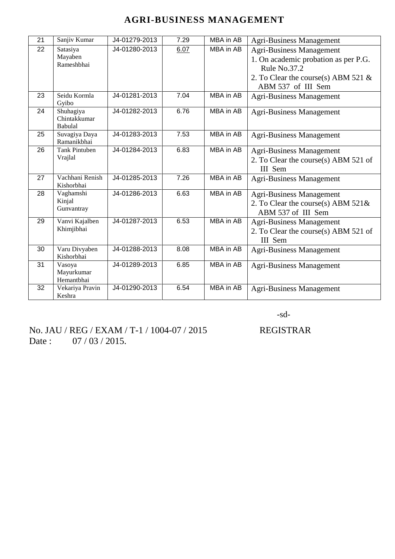| 21 | Sanjiv Kumar                   | J4-01279-2013 | 7.29 | <b>MBA</b> in AB | <b>Agri-Business Management</b>        |
|----|--------------------------------|---------------|------|------------------|----------------------------------------|
| 22 | Satasiya                       | J4-01280-2013 | 6.07 | MBA in AB        | <b>Agri-Business Management</b>        |
|    | Mayaben                        |               |      |                  | 1. On academic probation as per P.G.   |
|    | Rameshbhai                     |               |      |                  | Rule No.37.2                           |
|    |                                |               |      |                  | 2. To Clear the course(s) ABM 521 $\&$ |
|    |                                |               |      |                  | ABM 537 of III Sem                     |
| 23 | Seidu Kormla                   | J4-01281-2013 | 7.04 | MBA in AB        | <b>Agri-Business Management</b>        |
|    | Gyibo                          |               |      |                  |                                        |
| 24 | Shuhagiya                      | J4-01282-2013 | 6.76 | MBA in AB        | <b>Agri-Business Management</b>        |
|    | Chintakkumar<br><b>Babulal</b> |               |      |                  |                                        |
| 25 | Suvagiya Daya                  | J4-01283-2013 | 7.53 | MBA in AB        | Agri-Business Management               |
|    | Ramanikbhai                    |               |      |                  |                                        |
| 26 | Tank Pintuben                  | J4-01284-2013 | 6.83 | MBA in AB        | <b>Agri-Business Management</b>        |
|    | Vrajlal                        |               |      |                  | 2. To Clear the course(s) ABM 521 of   |
|    |                                |               |      |                  | III Sem                                |
| 27 | Vachhani Renish                | J4-01285-2013 | 7.26 | <b>MBA</b> in AB | <b>Agri-Business Management</b>        |
|    | Kishorbhai                     |               |      |                  |                                        |
| 28 | Vaghamshi                      | J4-01286-2013 | 6.63 | MBA in AB        | <b>Agri-Business Management</b>        |
|    | Kinjal                         |               |      |                  | 2. To Clear the course(s) ABM $521\&$  |
|    | Gunvantray                     |               |      |                  | ABM 537 of III Sem                     |
| 29 | Vanvi Kajalben                 | J4-01287-2013 | 6.53 | <b>MBA</b> in AB | <b>Agri-Business Management</b>        |
|    | Khimjibhai                     |               |      |                  | 2. To Clear the course(s) ABM 521 of   |
|    |                                |               |      |                  | III Sem                                |
| 30 | Varu Divyaben                  | J4-01288-2013 | 8.08 | MBA in AB        | <b>Agri-Business Management</b>        |
|    | Kishorbhai                     |               |      |                  |                                        |
| 31 | Vasoya                         | J4-01289-2013 | 6.85 | <b>MBA</b> in AB | <b>Agri-Business Management</b>        |
|    | Mayurkumar                     |               |      |                  |                                        |
| 32 | Hemantbhai<br>Vekariya Pravin  | J4-01290-2013 | 6.54 | MBA in AB        |                                        |
|    | Keshra                         |               |      |                  | <b>Agri-Business Management</b>        |

-sd-

No. JAU / REG / EXAM / T-1 / 1004-07 / 2015 REGISTRAR Date : 07 / 03 / 2015.